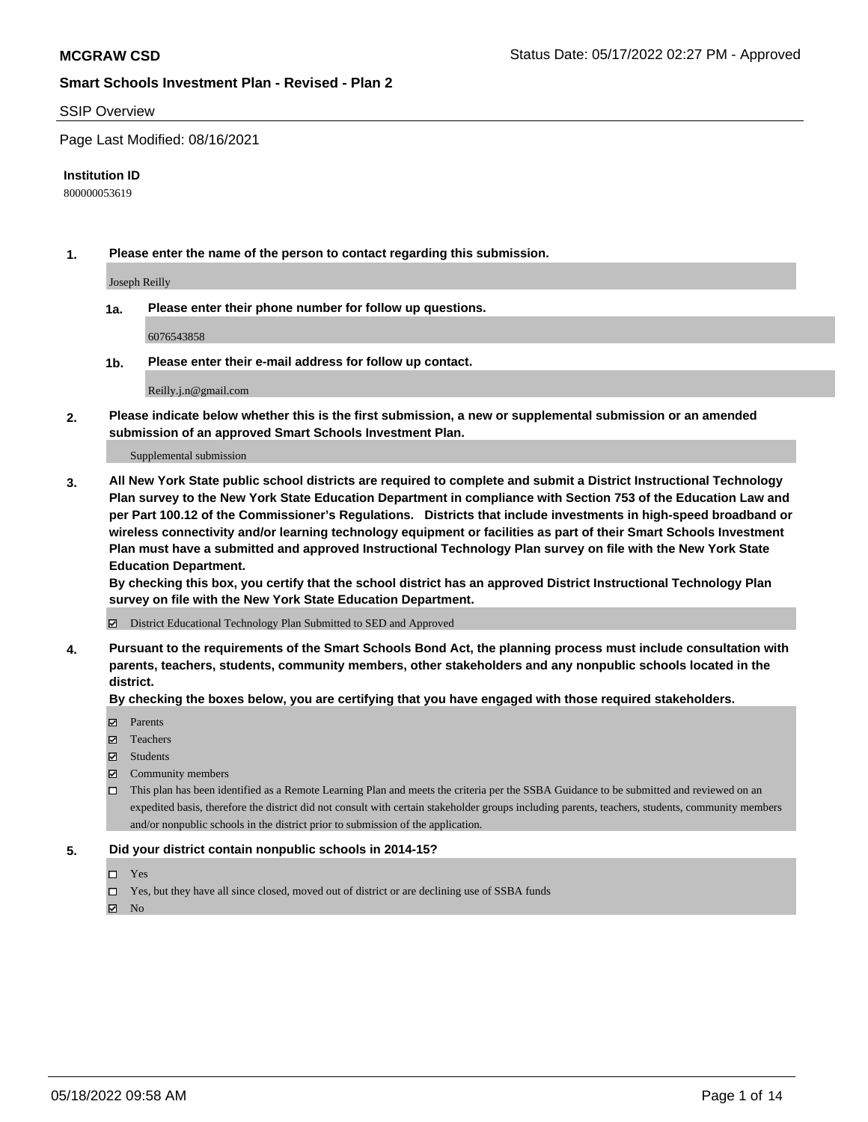#### SSIP Overview

Page Last Modified: 08/16/2021

#### **Institution ID**

800000053619

**1. Please enter the name of the person to contact regarding this submission.**

Joseph Reilly

**1a. Please enter their phone number for follow up questions.**

6076543858

**1b. Please enter their e-mail address for follow up contact.**

Reilly.j.n@gmail.com

**2. Please indicate below whether this is the first submission, a new or supplemental submission or an amended submission of an approved Smart Schools Investment Plan.**

Supplemental submission

**3. All New York State public school districts are required to complete and submit a District Instructional Technology Plan survey to the New York State Education Department in compliance with Section 753 of the Education Law and per Part 100.12 of the Commissioner's Regulations. Districts that include investments in high-speed broadband or wireless connectivity and/or learning technology equipment or facilities as part of their Smart Schools Investment Plan must have a submitted and approved Instructional Technology Plan survey on file with the New York State Education Department.** 

**By checking this box, you certify that the school district has an approved District Instructional Technology Plan survey on file with the New York State Education Department.**

District Educational Technology Plan Submitted to SED and Approved

**4. Pursuant to the requirements of the Smart Schools Bond Act, the planning process must include consultation with parents, teachers, students, community members, other stakeholders and any nonpublic schools located in the district.** 

**By checking the boxes below, you are certifying that you have engaged with those required stakeholders.**

- $\blacksquare$  Parents
- Teachers
- Students
- $\Xi$  Community members
- This plan has been identified as a Remote Learning Plan and meets the criteria per the SSBA Guidance to be submitted and reviewed on an expedited basis, therefore the district did not consult with certain stakeholder groups including parents, teachers, students, community members and/or nonpublic schools in the district prior to submission of the application.

#### **5. Did your district contain nonpublic schools in 2014-15?**

- Yes
- $\Box$  Yes, but they have all since closed, moved out of district or are declining use of SSBA funds

 $\boxtimes$  No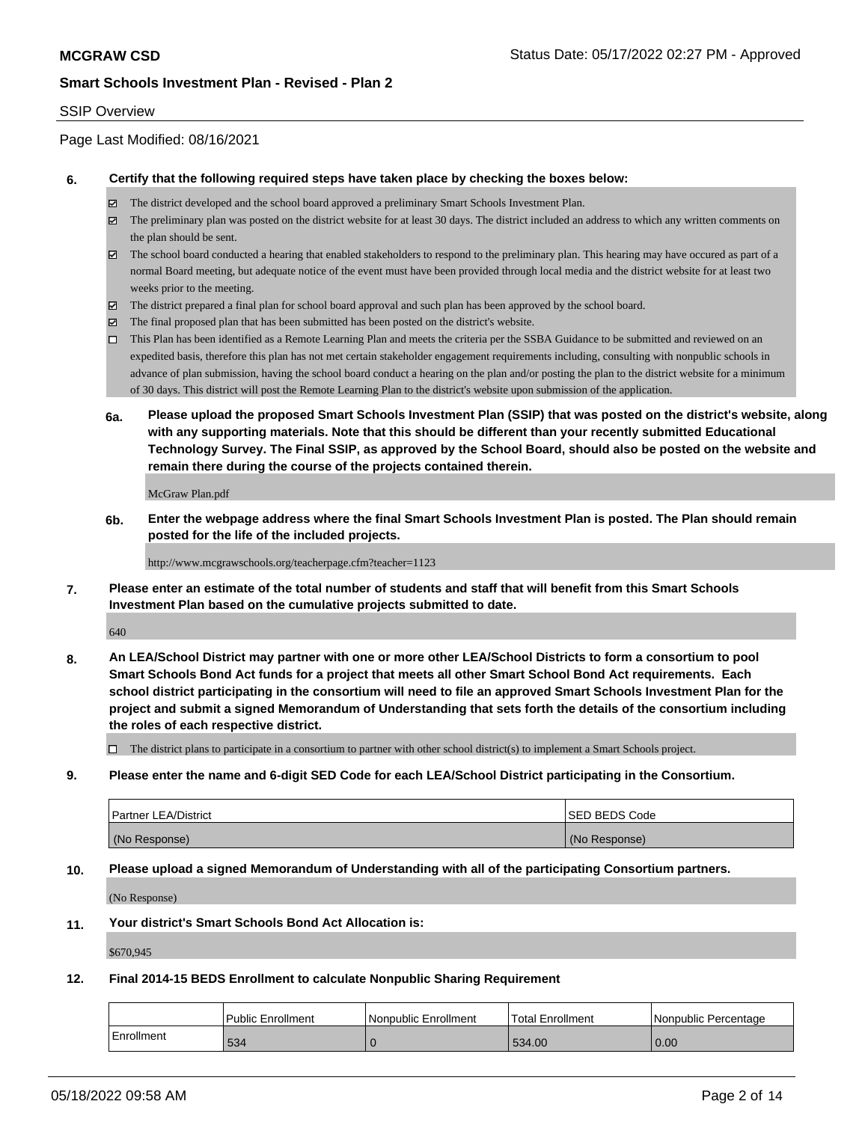### SSIP Overview

Page Last Modified: 08/16/2021

#### **6. Certify that the following required steps have taken place by checking the boxes below:**

- The district developed and the school board approved a preliminary Smart Schools Investment Plan.
- $\boxtimes$  The preliminary plan was posted on the district website for at least 30 days. The district included an address to which any written comments on the plan should be sent.
- $\boxtimes$  The school board conducted a hearing that enabled stakeholders to respond to the preliminary plan. This hearing may have occured as part of a normal Board meeting, but adequate notice of the event must have been provided through local media and the district website for at least two weeks prior to the meeting.
- The district prepared a final plan for school board approval and such plan has been approved by the school board.
- $\boxtimes$  The final proposed plan that has been submitted has been posted on the district's website.
- This Plan has been identified as a Remote Learning Plan and meets the criteria per the SSBA Guidance to be submitted and reviewed on an expedited basis, therefore this plan has not met certain stakeholder engagement requirements including, consulting with nonpublic schools in advance of plan submission, having the school board conduct a hearing on the plan and/or posting the plan to the district website for a minimum of 30 days. This district will post the Remote Learning Plan to the district's website upon submission of the application.
- **6a. Please upload the proposed Smart Schools Investment Plan (SSIP) that was posted on the district's website, along with any supporting materials. Note that this should be different than your recently submitted Educational Technology Survey. The Final SSIP, as approved by the School Board, should also be posted on the website and remain there during the course of the projects contained therein.**

McGraw Plan.pdf

**6b. Enter the webpage address where the final Smart Schools Investment Plan is posted. The Plan should remain posted for the life of the included projects.**

#### http://www.mcgrawschools.org/teacherpage.cfm?teacher=1123

**7. Please enter an estimate of the total number of students and staff that will benefit from this Smart Schools Investment Plan based on the cumulative projects submitted to date.**

640

**8. An LEA/School District may partner with one or more other LEA/School Districts to form a consortium to pool Smart Schools Bond Act funds for a project that meets all other Smart School Bond Act requirements. Each school district participating in the consortium will need to file an approved Smart Schools Investment Plan for the project and submit a signed Memorandum of Understanding that sets forth the details of the consortium including the roles of each respective district.**

 $\Box$  The district plans to participate in a consortium to partner with other school district(s) to implement a Smart Schools project.

**9. Please enter the name and 6-digit SED Code for each LEA/School District participating in the Consortium.**

| <b>Partner LEA/District</b> | <b>ISED BEDS Code</b> |
|-----------------------------|-----------------------|
| (No Response)               | (No Response)         |

### **10. Please upload a signed Memorandum of Understanding with all of the participating Consortium partners.**

(No Response)

#### **11. Your district's Smart Schools Bond Act Allocation is:**

\$670,945

#### **12. Final 2014-15 BEDS Enrollment to calculate Nonpublic Sharing Requirement**

|            | Public Enrollment | l Nonpublic Enrollment | Total Enrollment | l Nonpublic Percentage |
|------------|-------------------|------------------------|------------------|------------------------|
| Enrollment | 534               |                        | 534.00           | 0.00                   |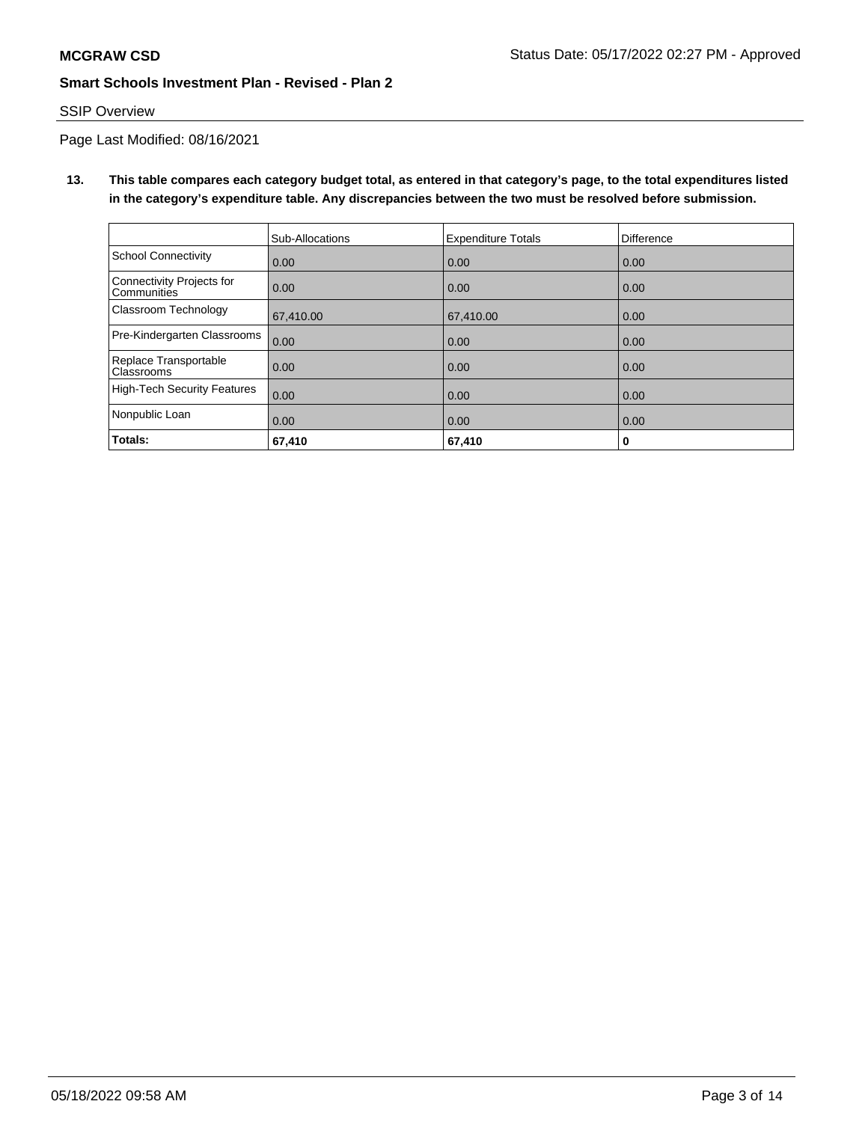# SSIP Overview

Page Last Modified: 08/16/2021

**13. This table compares each category budget total, as entered in that category's page, to the total expenditures listed in the category's expenditure table. Any discrepancies between the two must be resolved before submission.**

|                                                 | Sub-Allocations | <b>Expenditure Totals</b> | Difference |
|-------------------------------------------------|-----------------|---------------------------|------------|
| School Connectivity                             | 0.00            | 0.00                      | 0.00       |
| Connectivity Projects for<br><b>Communities</b> | 0.00            | 0.00                      | 0.00       |
| <b>Classroom Technology</b>                     | 67,410.00       | 67,410.00                 | 0.00       |
| Pre-Kindergarten Classrooms                     | 0.00            | 0.00                      | 0.00       |
| Replace Transportable<br>Classrooms             | 0.00            | 0.00                      | 0.00       |
| High-Tech Security Features                     | 0.00            | 0.00                      | 0.00       |
| Nonpublic Loan                                  | 0.00            | 0.00                      | 0.00       |
| Totals:                                         | 67,410          | 67,410                    | 0          |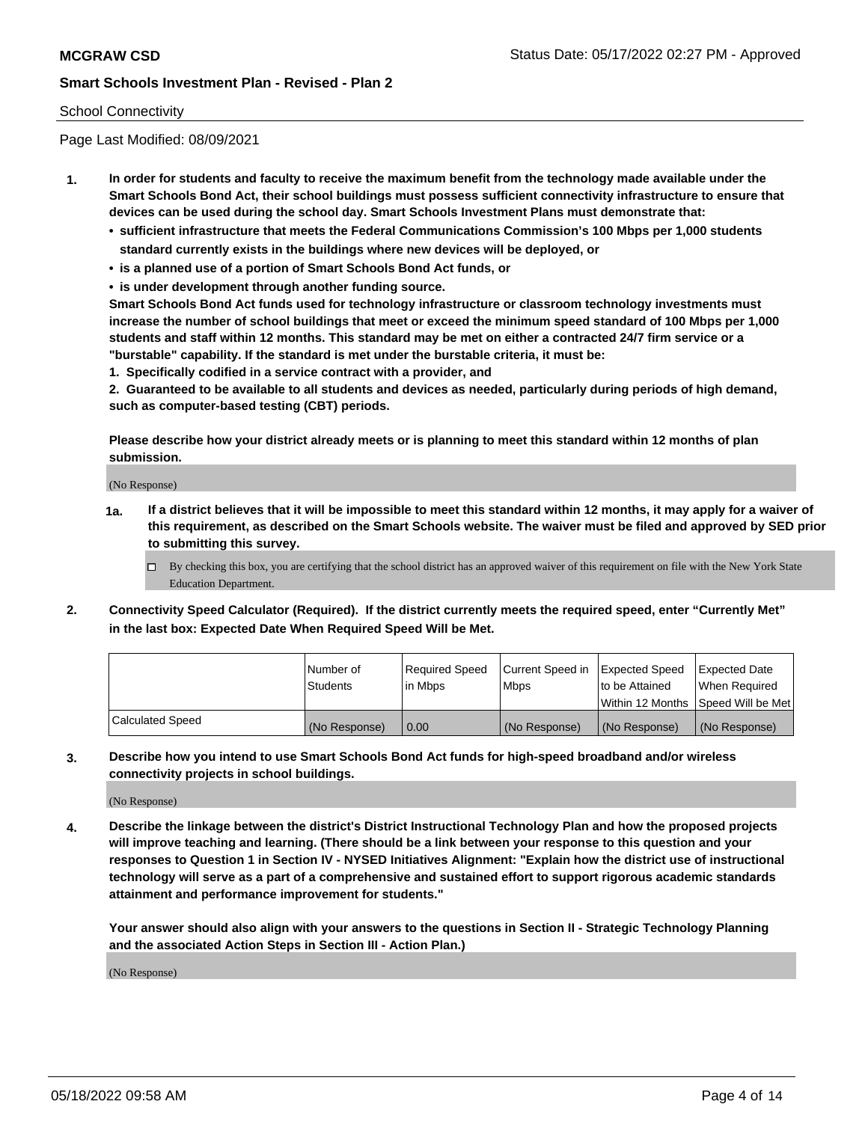## School Connectivity

Page Last Modified: 08/09/2021

- **1. In order for students and faculty to receive the maximum benefit from the technology made available under the Smart Schools Bond Act, their school buildings must possess sufficient connectivity infrastructure to ensure that devices can be used during the school day. Smart Schools Investment Plans must demonstrate that:**
	- **• sufficient infrastructure that meets the Federal Communications Commission's 100 Mbps per 1,000 students standard currently exists in the buildings where new devices will be deployed, or**
	- **• is a planned use of a portion of Smart Schools Bond Act funds, or**
	- **• is under development through another funding source.**

**Smart Schools Bond Act funds used for technology infrastructure or classroom technology investments must increase the number of school buildings that meet or exceed the minimum speed standard of 100 Mbps per 1,000 students and staff within 12 months. This standard may be met on either a contracted 24/7 firm service or a "burstable" capability. If the standard is met under the burstable criteria, it must be:**

**1. Specifically codified in a service contract with a provider, and**

**2. Guaranteed to be available to all students and devices as needed, particularly during periods of high demand, such as computer-based testing (CBT) periods.**

**Please describe how your district already meets or is planning to meet this standard within 12 months of plan submission.**

(No Response)

- **1a. If a district believes that it will be impossible to meet this standard within 12 months, it may apply for a waiver of this requirement, as described on the Smart Schools website. The waiver must be filed and approved by SED prior to submitting this survey.**
	- By checking this box, you are certifying that the school district has an approved waiver of this requirement on file with the New York State Education Department.
- **2. Connectivity Speed Calculator (Required). If the district currently meets the required speed, enter "Currently Met" in the last box: Expected Date When Required Speed Will be Met.**

|                  | l Number of<br><b>Students</b> | Required Speed<br>l in Mbps | Current Speed in<br><b>Mbps</b> | <b>Expected Speed</b><br>to be Attained | Expected Date<br>When Reauired |
|------------------|--------------------------------|-----------------------------|---------------------------------|-----------------------------------------|--------------------------------|
|                  |                                |                             |                                 | Within 12 Months 1Speed Will be Met     |                                |
| Calculated Speed | (No Response)                  | 0.00                        | (No Response)                   | (No Response)                           | (No Response)                  |

**3. Describe how you intend to use Smart Schools Bond Act funds for high-speed broadband and/or wireless connectivity projects in school buildings.**

(No Response)

**4. Describe the linkage between the district's District Instructional Technology Plan and how the proposed projects will improve teaching and learning. (There should be a link between your response to this question and your responses to Question 1 in Section IV - NYSED Initiatives Alignment: "Explain how the district use of instructional technology will serve as a part of a comprehensive and sustained effort to support rigorous academic standards attainment and performance improvement for students."** 

**Your answer should also align with your answers to the questions in Section II - Strategic Technology Planning and the associated Action Steps in Section III - Action Plan.)**

(No Response)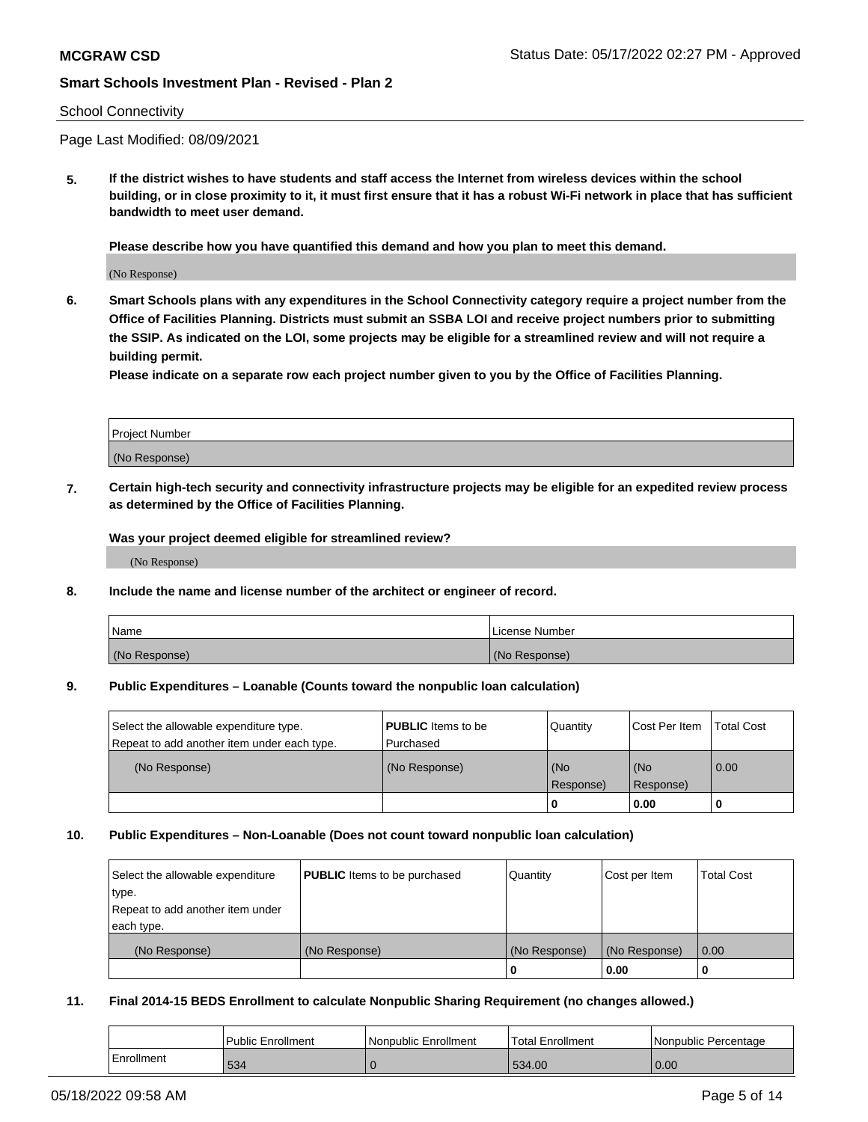### School Connectivity

Page Last Modified: 08/09/2021

**5. If the district wishes to have students and staff access the Internet from wireless devices within the school building, or in close proximity to it, it must first ensure that it has a robust Wi-Fi network in place that has sufficient bandwidth to meet user demand.**

**Please describe how you have quantified this demand and how you plan to meet this demand.**

(No Response)

**6. Smart Schools plans with any expenditures in the School Connectivity category require a project number from the Office of Facilities Planning. Districts must submit an SSBA LOI and receive project numbers prior to submitting the SSIP. As indicated on the LOI, some projects may be eligible for a streamlined review and will not require a building permit.**

**Please indicate on a separate row each project number given to you by the Office of Facilities Planning.**

| <b>Project Number</b> |  |
|-----------------------|--|
| (No Response)         |  |

**7. Certain high-tech security and connectivity infrastructure projects may be eligible for an expedited review process as determined by the Office of Facilities Planning.**

**Was your project deemed eligible for streamlined review?**

(No Response)

## **8. Include the name and license number of the architect or engineer of record.**

| Name          | I License Number |
|---------------|------------------|
| (No Response) | (No Response)    |

#### **9. Public Expenditures – Loanable (Counts toward the nonpublic loan calculation)**

| Select the allowable expenditure type.<br>Repeat to add another item under each type. | <b>PUBLIC</b> Items to be<br>l Purchased | Quantity         | Cost Per Item    | <b>Total Cost</b> |
|---------------------------------------------------------------------------------------|------------------------------------------|------------------|------------------|-------------------|
| (No Response)                                                                         | (No Response)                            | (No<br>Response) | (No<br>Response) | 0.00              |
|                                                                                       |                                          | -0               | 0.00             |                   |

### **10. Public Expenditures – Non-Loanable (Does not count toward nonpublic loan calculation)**

| Select the allowable expenditure | <b>PUBLIC</b> Items to be purchased | Quantity      | Cost per Item | <b>Total Cost</b> |
|----------------------------------|-------------------------------------|---------------|---------------|-------------------|
| type.                            |                                     |               |               |                   |
| Repeat to add another item under |                                     |               |               |                   |
| each type.                       |                                     |               |               |                   |
| (No Response)                    | (No Response)                       | (No Response) | (No Response) | 0.00              |
|                                  |                                     | U             | 0.00          |                   |

#### **11. Final 2014-15 BEDS Enrollment to calculate Nonpublic Sharing Requirement (no changes allowed.)**

|            | Public Enrollment | Nonpublic Enrollment | <b>Total Enrollment</b> | Nonpublic Percentage |
|------------|-------------------|----------------------|-------------------------|----------------------|
| Enrollment | 534               |                      | 534.00                  | 0.00                 |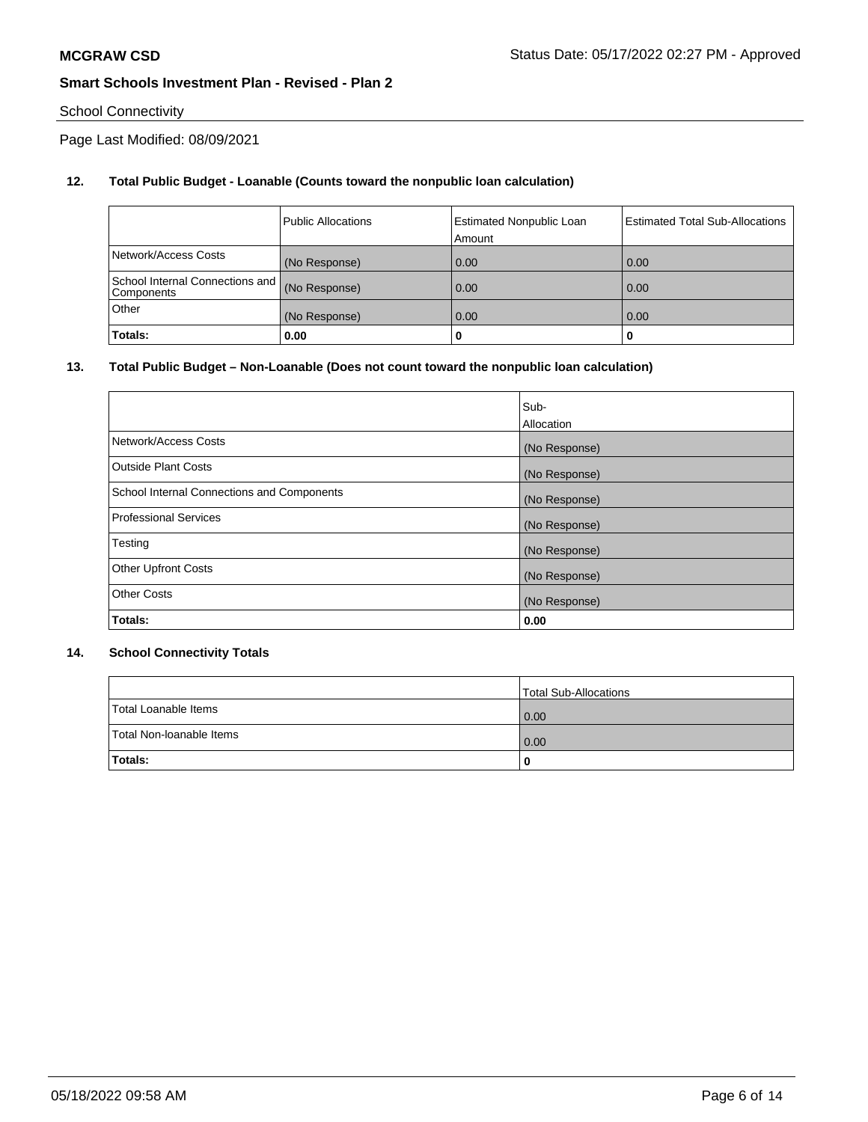# School Connectivity

Page Last Modified: 08/09/2021

# **12. Total Public Budget - Loanable (Counts toward the nonpublic loan calculation)**

|                                                 | <b>Public Allocations</b> | <b>Estimated Nonpublic Loan</b><br>Amount | <b>Estimated Total Sub-Allocations</b> |
|-------------------------------------------------|---------------------------|-------------------------------------------|----------------------------------------|
| Network/Access Costs                            | (No Response)             | 0.00                                      | 0.00                                   |
| School Internal Connections and  <br>Components | (No Response)             | 0.00                                      | 0.00                                   |
| Other                                           | (No Response)             | 0.00                                      | 0.00                                   |
| Totals:                                         | 0.00                      |                                           | 0                                      |

# **13. Total Public Budget – Non-Loanable (Does not count toward the nonpublic loan calculation)**

|                                            | Sub-          |
|--------------------------------------------|---------------|
|                                            | Allocation    |
| Network/Access Costs                       | (No Response) |
| <b>Outside Plant Costs</b>                 | (No Response) |
| School Internal Connections and Components | (No Response) |
| <b>Professional Services</b>               | (No Response) |
| Testing                                    | (No Response) |
| <b>Other Upfront Costs</b>                 | (No Response) |
| <b>Other Costs</b>                         | (No Response) |
| Totals:                                    | 0.00          |

# **14. School Connectivity Totals**

|                          | Total Sub-Allocations |
|--------------------------|-----------------------|
| Total Loanable Items     | 0.00                  |
| Total Non-Ioanable Items | 0.00                  |
| Totals:                  | 0                     |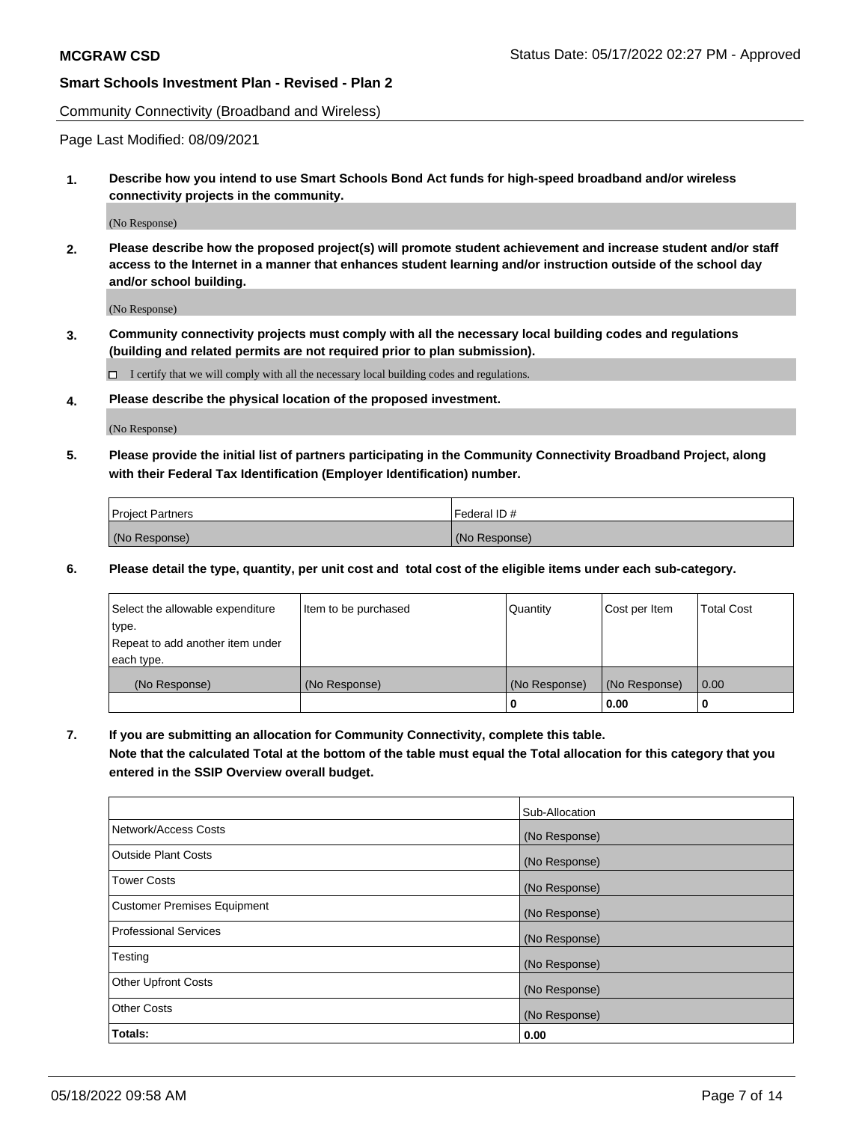Community Connectivity (Broadband and Wireless)

Page Last Modified: 08/09/2021

**1. Describe how you intend to use Smart Schools Bond Act funds for high-speed broadband and/or wireless connectivity projects in the community.**

(No Response)

**2. Please describe how the proposed project(s) will promote student achievement and increase student and/or staff access to the Internet in a manner that enhances student learning and/or instruction outside of the school day and/or school building.**

(No Response)

**3. Community connectivity projects must comply with all the necessary local building codes and regulations (building and related permits are not required prior to plan submission).**

 $\Box$  I certify that we will comply with all the necessary local building codes and regulations.

**4. Please describe the physical location of the proposed investment.**

(No Response)

**5. Please provide the initial list of partners participating in the Community Connectivity Broadband Project, along with their Federal Tax Identification (Employer Identification) number.**

| <b>Project Partners</b> | l Federal ID # |
|-------------------------|----------------|
| (No Response)           | (No Response)  |

**6. Please detail the type, quantity, per unit cost and total cost of the eligible items under each sub-category.**

| Select the allowable expenditure          | Item to be purchased | Quantity      | Cost per Item | <b>Total Cost</b> |
|-------------------------------------------|----------------------|---------------|---------------|-------------------|
| type.<br>Repeat to add another item under |                      |               |               |                   |
| each type.                                |                      |               |               |                   |
| (No Response)                             | (No Response)        | (No Response) | (No Response) | 0.00              |
|                                           |                      | 0             | 0.00          |                   |

**7. If you are submitting an allocation for Community Connectivity, complete this table.**

**Note that the calculated Total at the bottom of the table must equal the Total allocation for this category that you entered in the SSIP Overview overall budget.**

|                                    | Sub-Allocation |
|------------------------------------|----------------|
| Network/Access Costs               | (No Response)  |
| <b>Outside Plant Costs</b>         | (No Response)  |
| <b>Tower Costs</b>                 | (No Response)  |
| <b>Customer Premises Equipment</b> | (No Response)  |
| Professional Services              | (No Response)  |
| Testing                            | (No Response)  |
| <b>Other Upfront Costs</b>         | (No Response)  |
| <b>Other Costs</b>                 | (No Response)  |
| Totals:                            | 0.00           |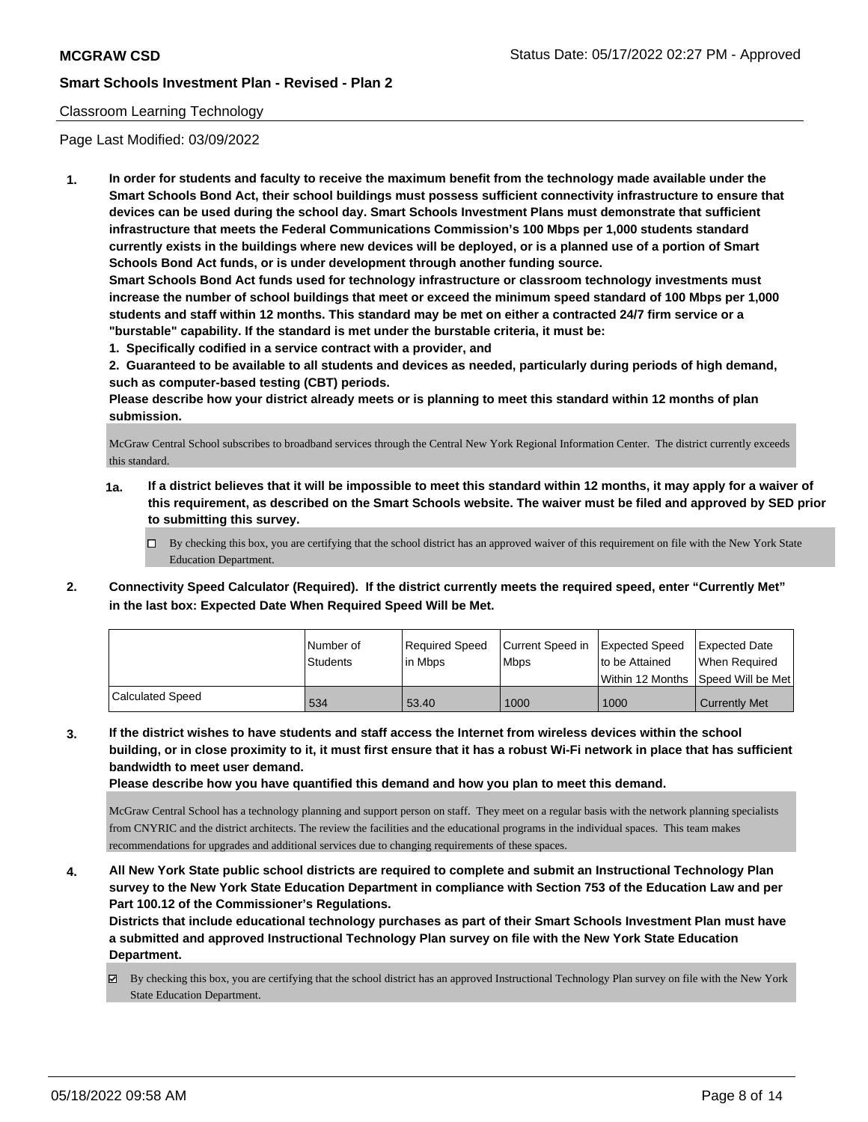# Classroom Learning Technology

Page Last Modified: 03/09/2022

**1. In order for students and faculty to receive the maximum benefit from the technology made available under the Smart Schools Bond Act, their school buildings must possess sufficient connectivity infrastructure to ensure that devices can be used during the school day. Smart Schools Investment Plans must demonstrate that sufficient infrastructure that meets the Federal Communications Commission's 100 Mbps per 1,000 students standard currently exists in the buildings where new devices will be deployed, or is a planned use of a portion of Smart Schools Bond Act funds, or is under development through another funding source.**

**Smart Schools Bond Act funds used for technology infrastructure or classroom technology investments must increase the number of school buildings that meet or exceed the minimum speed standard of 100 Mbps per 1,000 students and staff within 12 months. This standard may be met on either a contracted 24/7 firm service or a "burstable" capability. If the standard is met under the burstable criteria, it must be:**

**1. Specifically codified in a service contract with a provider, and**

**2. Guaranteed to be available to all students and devices as needed, particularly during periods of high demand, such as computer-based testing (CBT) periods.**

**Please describe how your district already meets or is planning to meet this standard within 12 months of plan submission.**

McGraw Central School subscribes to broadband services through the Central New York Regional Information Center. The district currently exceeds this standard.

- **1a. If a district believes that it will be impossible to meet this standard within 12 months, it may apply for a waiver of this requirement, as described on the Smart Schools website. The waiver must be filed and approved by SED prior to submitting this survey.**
	- By checking this box, you are certifying that the school district has an approved waiver of this requirement on file with the New York State Education Department.
- **2. Connectivity Speed Calculator (Required). If the district currently meets the required speed, enter "Currently Met" in the last box: Expected Date When Required Speed Will be Met.**

|                  | l Number of | Required Speed | Current Speed in | Expected Speed | Expected Date                        |
|------------------|-------------|----------------|------------------|----------------|--------------------------------------|
|                  | Students    | l in Mbps      | <b>Mbps</b>      | to be Attained | When Required                        |
|                  |             |                |                  |                | Within 12 Months   Speed Will be Met |
| Calculated Speed | 534         | 53.40          | 1000             | 1000           | <b>Currently Met</b>                 |

**3. If the district wishes to have students and staff access the Internet from wireless devices within the school building, or in close proximity to it, it must first ensure that it has a robust Wi-Fi network in place that has sufficient bandwidth to meet user demand.**

**Please describe how you have quantified this demand and how you plan to meet this demand.**

McGraw Central School has a technology planning and support person on staff. They meet on a regular basis with the network planning specialists from CNYRIC and the district architects. The review the facilities and the educational programs in the individual spaces. This team makes recommendations for upgrades and additional services due to changing requirements of these spaces.

**4. All New York State public school districts are required to complete and submit an Instructional Technology Plan survey to the New York State Education Department in compliance with Section 753 of the Education Law and per Part 100.12 of the Commissioner's Regulations.**

**Districts that include educational technology purchases as part of their Smart Schools Investment Plan must have a submitted and approved Instructional Technology Plan survey on file with the New York State Education Department.**

By checking this box, you are certifying that the school district has an approved Instructional Technology Plan survey on file with the New York State Education Department.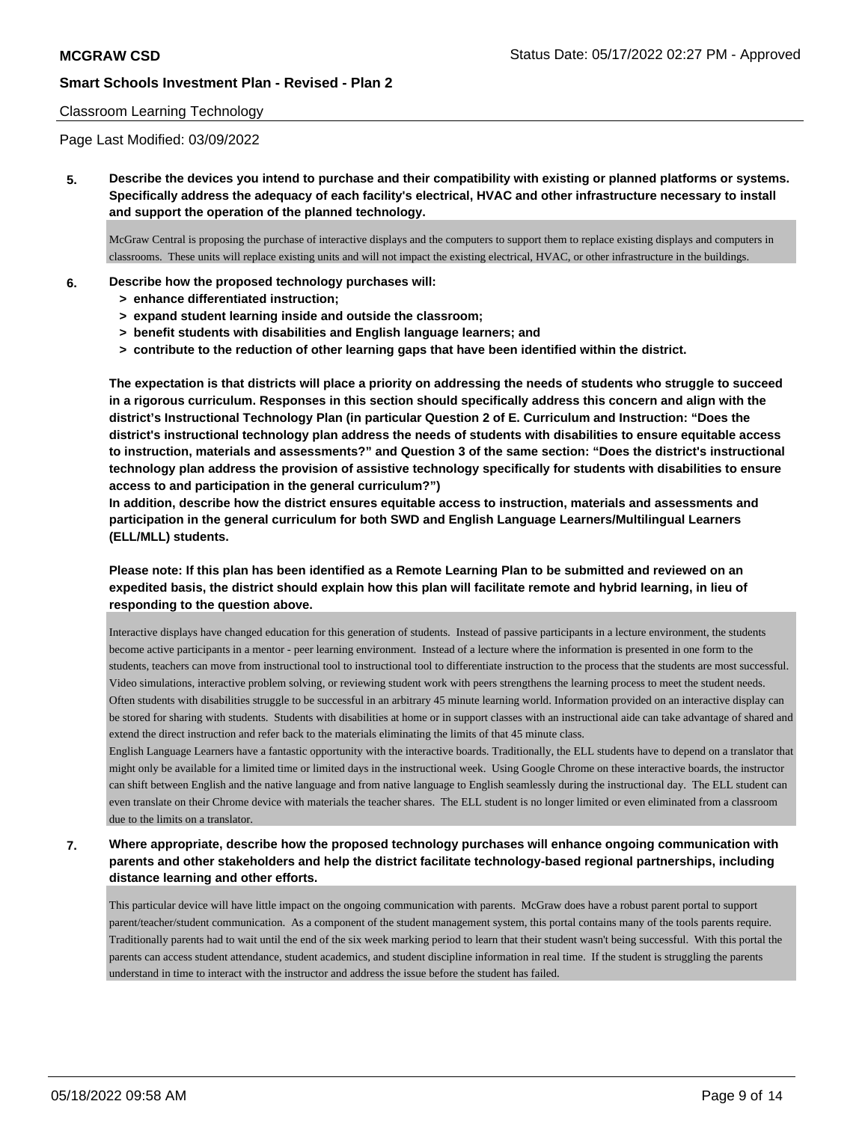### Classroom Learning Technology

Page Last Modified: 03/09/2022

**5. Describe the devices you intend to purchase and their compatibility with existing or planned platforms or systems. Specifically address the adequacy of each facility's electrical, HVAC and other infrastructure necessary to install and support the operation of the planned technology.**

McGraw Central is proposing the purchase of interactive displays and the computers to support them to replace existing displays and computers in classrooms. These units will replace existing units and will not impact the existing electrical, HVAC, or other infrastructure in the buildings.

### **6. Describe how the proposed technology purchases will:**

- **> enhance differentiated instruction;**
- **> expand student learning inside and outside the classroom;**
- **> benefit students with disabilities and English language learners; and**
- **> contribute to the reduction of other learning gaps that have been identified within the district.**

**The expectation is that districts will place a priority on addressing the needs of students who struggle to succeed in a rigorous curriculum. Responses in this section should specifically address this concern and align with the district's Instructional Technology Plan (in particular Question 2 of E. Curriculum and Instruction: "Does the district's instructional technology plan address the needs of students with disabilities to ensure equitable access to instruction, materials and assessments?" and Question 3 of the same section: "Does the district's instructional technology plan address the provision of assistive technology specifically for students with disabilities to ensure access to and participation in the general curriculum?")**

**In addition, describe how the district ensures equitable access to instruction, materials and assessments and participation in the general curriculum for both SWD and English Language Learners/Multilingual Learners (ELL/MLL) students.**

# **Please note: If this plan has been identified as a Remote Learning Plan to be submitted and reviewed on an expedited basis, the district should explain how this plan will facilitate remote and hybrid learning, in lieu of responding to the question above.**

Interactive displays have changed education for this generation of students. Instead of passive participants in a lecture environment, the students become active participants in a mentor - peer learning environment. Instead of a lecture where the information is presented in one form to the students, teachers can move from instructional tool to instructional tool to differentiate instruction to the process that the students are most successful. Video simulations, interactive problem solving, or reviewing student work with peers strengthens the learning process to meet the student needs. Often students with disabilities struggle to be successful in an arbitrary 45 minute learning world. Information provided on an interactive display can be stored for sharing with students. Students with disabilities at home or in support classes with an instructional aide can take advantage of shared and extend the direct instruction and refer back to the materials eliminating the limits of that 45 minute class.

English Language Learners have a fantastic opportunity with the interactive boards. Traditionally, the ELL students have to depend on a translator that might only be available for a limited time or limited days in the instructional week. Using Google Chrome on these interactive boards, the instructor can shift between English and the native language and from native language to English seamlessly during the instructional day. The ELL student can even translate on their Chrome device with materials the teacher shares. The ELL student is no longer limited or even eliminated from a classroom due to the limits on a translator.

# **7. Where appropriate, describe how the proposed technology purchases will enhance ongoing communication with parents and other stakeholders and help the district facilitate technology-based regional partnerships, including distance learning and other efforts.**

This particular device will have little impact on the ongoing communication with parents. McGraw does have a robust parent portal to support parent/teacher/student communication. As a component of the student management system, this portal contains many of the tools parents require. Traditionally parents had to wait until the end of the six week marking period to learn that their student wasn't being successful. With this portal the parents can access student attendance, student academics, and student discipline information in real time. If the student is struggling the parents understand in time to interact with the instructor and address the issue before the student has failed.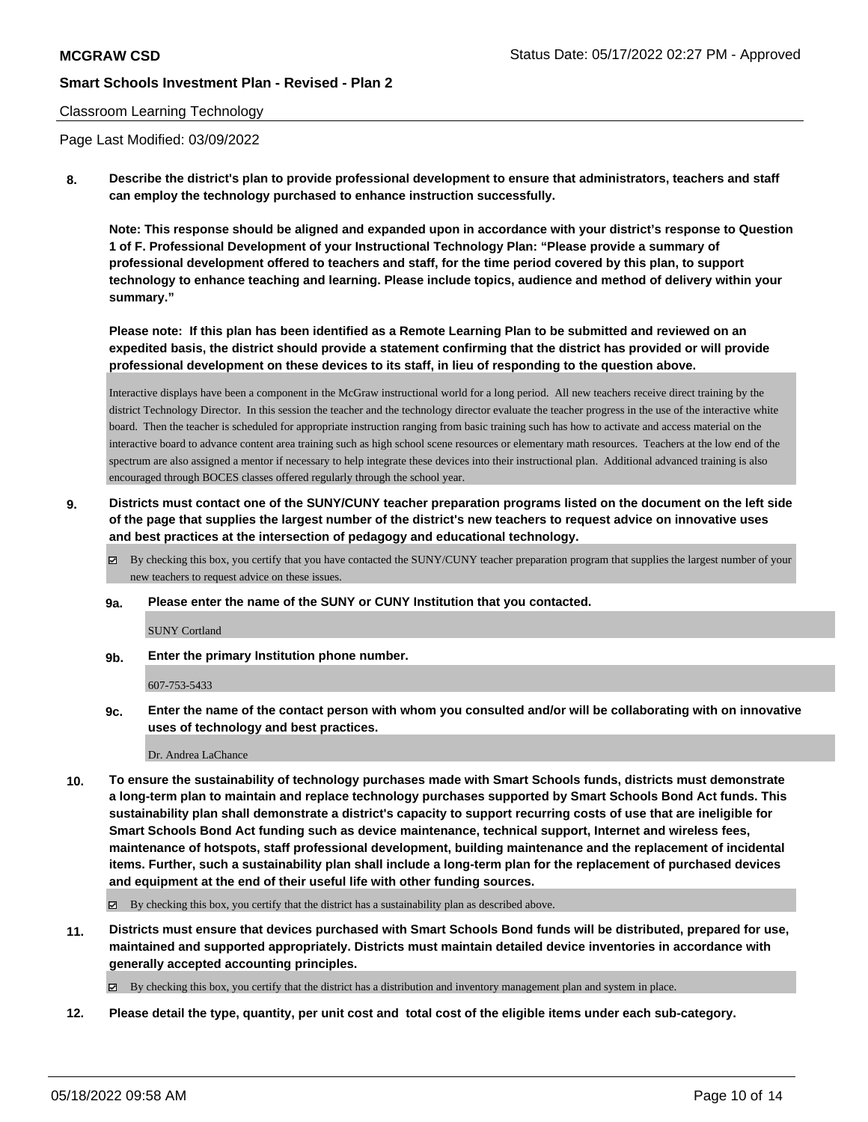### Classroom Learning Technology

Page Last Modified: 03/09/2022

**8. Describe the district's plan to provide professional development to ensure that administrators, teachers and staff can employ the technology purchased to enhance instruction successfully.**

**Note: This response should be aligned and expanded upon in accordance with your district's response to Question 1 of F. Professional Development of your Instructional Technology Plan: "Please provide a summary of professional development offered to teachers and staff, for the time period covered by this plan, to support technology to enhance teaching and learning. Please include topics, audience and method of delivery within your summary."**

**Please note: If this plan has been identified as a Remote Learning Plan to be submitted and reviewed on an expedited basis, the district should provide a statement confirming that the district has provided or will provide professional development on these devices to its staff, in lieu of responding to the question above.**

Interactive displays have been a component in the McGraw instructional world for a long period. All new teachers receive direct training by the district Technology Director. In this session the teacher and the technology director evaluate the teacher progress in the use of the interactive white board. Then the teacher is scheduled for appropriate instruction ranging from basic training such has how to activate and access material on the interactive board to advance content area training such as high school scene resources or elementary math resources. Teachers at the low end of the spectrum are also assigned a mentor if necessary to help integrate these devices into their instructional plan. Additional advanced training is also encouraged through BOCES classes offered regularly through the school year.

- **9. Districts must contact one of the SUNY/CUNY teacher preparation programs listed on the document on the left side of the page that supplies the largest number of the district's new teachers to request advice on innovative uses and best practices at the intersection of pedagogy and educational technology.**
	- By checking this box, you certify that you have contacted the SUNY/CUNY teacher preparation program that supplies the largest number of your new teachers to request advice on these issues.
	- **9a. Please enter the name of the SUNY or CUNY Institution that you contacted.**

SUNY Cortland

**9b. Enter the primary Institution phone number.**

607-753-5433

**9c. Enter the name of the contact person with whom you consulted and/or will be collaborating with on innovative uses of technology and best practices.**

Dr. Andrea LaChance

**10. To ensure the sustainability of technology purchases made with Smart Schools funds, districts must demonstrate a long-term plan to maintain and replace technology purchases supported by Smart Schools Bond Act funds. This sustainability plan shall demonstrate a district's capacity to support recurring costs of use that are ineligible for Smart Schools Bond Act funding such as device maintenance, technical support, Internet and wireless fees, maintenance of hotspots, staff professional development, building maintenance and the replacement of incidental items. Further, such a sustainability plan shall include a long-term plan for the replacement of purchased devices and equipment at the end of their useful life with other funding sources.**

By checking this box, you certify that the district has a sustainability plan as described above.

**11. Districts must ensure that devices purchased with Smart Schools Bond funds will be distributed, prepared for use, maintained and supported appropriately. Districts must maintain detailed device inventories in accordance with generally accepted accounting principles.**

By checking this box, you certify that the district has a distribution and inventory management plan and system in place.

**12. Please detail the type, quantity, per unit cost and total cost of the eligible items under each sub-category.**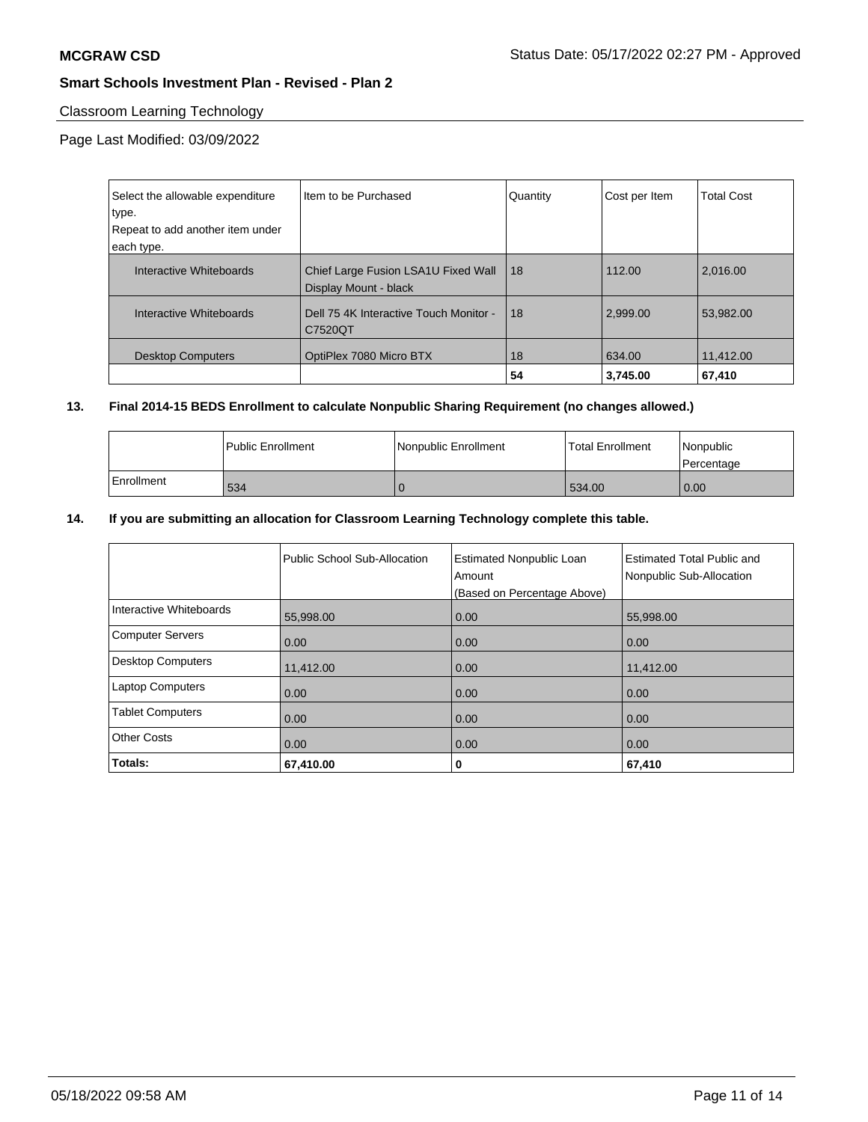# Classroom Learning Technology

Page Last Modified: 03/09/2022

| Select the allowable expenditure<br>type. | Iltem to be Purchased                                        | Quantity | Cost per Item | <b>Total Cost</b> |
|-------------------------------------------|--------------------------------------------------------------|----------|---------------|-------------------|
| Repeat to add another item under          |                                                              |          |               |                   |
| each type.                                |                                                              |          |               |                   |
| Interactive Whiteboards                   | Chief Large Fusion LSA1U Fixed Wall<br>Display Mount - black | 18       | 112.00        | 2.016.00          |
| Interactive Whiteboards                   | Dell 75 4K Interactive Touch Monitor -<br>C7520QT            | 18       | 2,999.00      | 53.982.00         |
| <b>Desktop Computers</b>                  | OptiPlex 7080 Micro BTX                                      | 18       | 634.00        | 11,412.00         |
|                                           |                                                              | 54       | 3.745.00      | 67,410            |

# **13. Final 2014-15 BEDS Enrollment to calculate Nonpublic Sharing Requirement (no changes allowed.)**

|            | <b>Public Enrollment</b> | Nonpublic Enrollment | Total Enrollment | Nonpublic<br>l Percentage |
|------------|--------------------------|----------------------|------------------|---------------------------|
| Enrollment | 534                      | ◥◟                   | 534.00           | 0.00                      |

# **14. If you are submitting an allocation for Classroom Learning Technology complete this table.**

| Interactive Whiteboards<br>Computer Servers | 55,998.00         | (Based on Percentage Above)<br>0.00 | 55,998.00         |
|---------------------------------------------|-------------------|-------------------------------------|-------------------|
| <b>Desktop Computers</b>                    | 0.00<br>11,412.00 | 0.00<br>0.00                        | 0.00<br>11,412.00 |
| <b>Laptop Computers</b>                     | 0.00              | 0.00                                | 0.00              |
| <b>Tablet Computers</b>                     | 0.00              | 0.00                                | 0.00              |
| <b>Other Costs</b>                          | 0.00              | 0.00                                | 0.00              |
| Totals:                                     | 67,410.00         | 0                                   | 67,410            |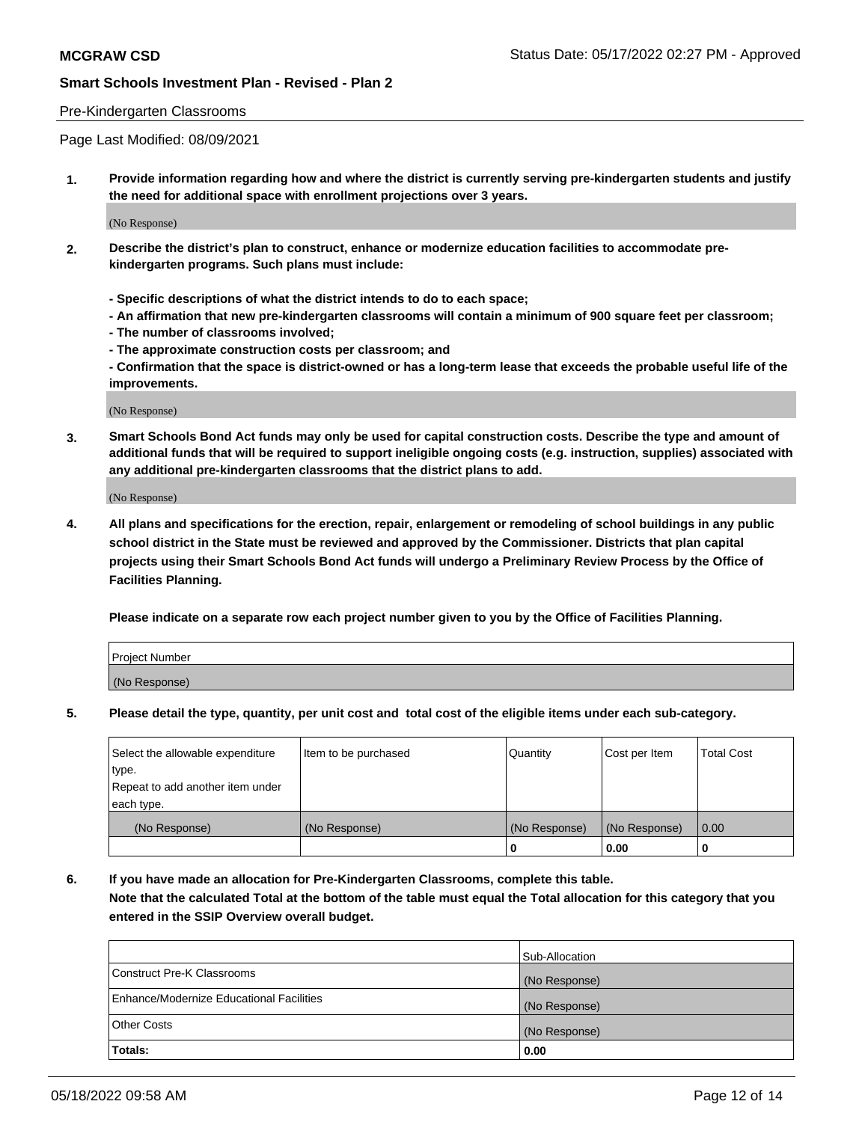### Pre-Kindergarten Classrooms

Page Last Modified: 08/09/2021

**1. Provide information regarding how and where the district is currently serving pre-kindergarten students and justify the need for additional space with enrollment projections over 3 years.**

(No Response)

- **2. Describe the district's plan to construct, enhance or modernize education facilities to accommodate prekindergarten programs. Such plans must include:**
	- **Specific descriptions of what the district intends to do to each space;**
	- **An affirmation that new pre-kindergarten classrooms will contain a minimum of 900 square feet per classroom;**
	- **The number of classrooms involved;**
	- **The approximate construction costs per classroom; and**
	- **Confirmation that the space is district-owned or has a long-term lease that exceeds the probable useful life of the improvements.**

(No Response)

**3. Smart Schools Bond Act funds may only be used for capital construction costs. Describe the type and amount of additional funds that will be required to support ineligible ongoing costs (e.g. instruction, supplies) associated with any additional pre-kindergarten classrooms that the district plans to add.**

(No Response)

**4. All plans and specifications for the erection, repair, enlargement or remodeling of school buildings in any public school district in the State must be reviewed and approved by the Commissioner. Districts that plan capital projects using their Smart Schools Bond Act funds will undergo a Preliminary Review Process by the Office of Facilities Planning.**

**Please indicate on a separate row each project number given to you by the Office of Facilities Planning.**

| Project Number |  |
|----------------|--|
| (No Response)  |  |

**5. Please detail the type, quantity, per unit cost and total cost of the eligible items under each sub-category.**

| Select the allowable expenditure          | Item to be purchased | Quantity      | Cost per Item | <b>Total Cost</b> |
|-------------------------------------------|----------------------|---------------|---------------|-------------------|
| type.<br>Repeat to add another item under |                      |               |               |                   |
| each type.                                |                      |               |               |                   |
| (No Response)                             | (No Response)        | (No Response) | (No Response) | 0.00              |
|                                           |                      | o             | 0.00          |                   |

**6. If you have made an allocation for Pre-Kindergarten Classrooms, complete this table.**

**Note that the calculated Total at the bottom of the table must equal the Total allocation for this category that you entered in the SSIP Overview overall budget.**

|                                          | Sub-Allocation |
|------------------------------------------|----------------|
| Construct Pre-K Classrooms               | (No Response)  |
| Enhance/Modernize Educational Facilities | (No Response)  |
| <b>Other Costs</b>                       | (No Response)  |
| Totals:                                  | 0.00           |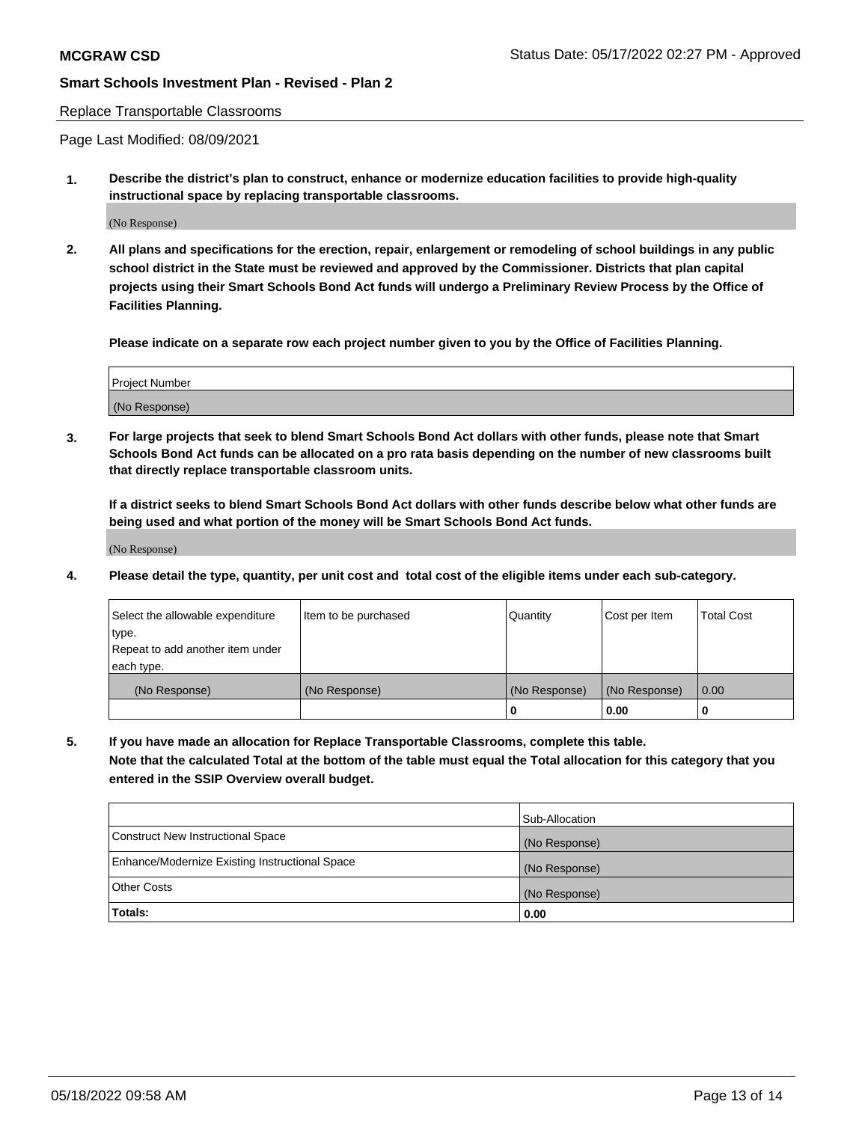#### Replace Transportable Classrooms

Page Last Modified: 08/09/2021

**1. Describe the district's plan to construct, enhance or modernize education facilities to provide high-quality instructional space by replacing transportable classrooms.**

(No Response)

**2. All plans and specifications for the erection, repair, enlargement or remodeling of school buildings in any public school district in the State must be reviewed and approved by the Commissioner. Districts that plan capital projects using their Smart Schools Bond Act funds will undergo a Preliminary Review Process by the Office of Facilities Planning.**

**Please indicate on a separate row each project number given to you by the Office of Facilities Planning.**

| Project Number |  |
|----------------|--|
| (No Response)  |  |

**3. For large projects that seek to blend Smart Schools Bond Act dollars with other funds, please note that Smart Schools Bond Act funds can be allocated on a pro rata basis depending on the number of new classrooms built that directly replace transportable classroom units.**

**If a district seeks to blend Smart Schools Bond Act dollars with other funds describe below what other funds are being used and what portion of the money will be Smart Schools Bond Act funds.**

(No Response)

**4. Please detail the type, quantity, per unit cost and total cost of the eligible items under each sub-category.**

| Select the allowable expenditure | Item to be purchased | Quantity      | Cost per Item | <b>Total Cost</b> |
|----------------------------------|----------------------|---------------|---------------|-------------------|
| type.                            |                      |               |               |                   |
| Repeat to add another item under |                      |               |               |                   |
| each type.                       |                      |               |               |                   |
| (No Response)                    | (No Response)        | (No Response) | (No Response) | 0.00              |
|                                  |                      | U             | 0.00          |                   |

**5. If you have made an allocation for Replace Transportable Classrooms, complete this table.**

**Note that the calculated Total at the bottom of the table must equal the Total allocation for this category that you entered in the SSIP Overview overall budget.**

|                                                | Sub-Allocation |
|------------------------------------------------|----------------|
| Construct New Instructional Space              | (No Response)  |
| Enhance/Modernize Existing Instructional Space | (No Response)  |
| <b>Other Costs</b>                             | (No Response)  |
| Totals:                                        | 0.00           |